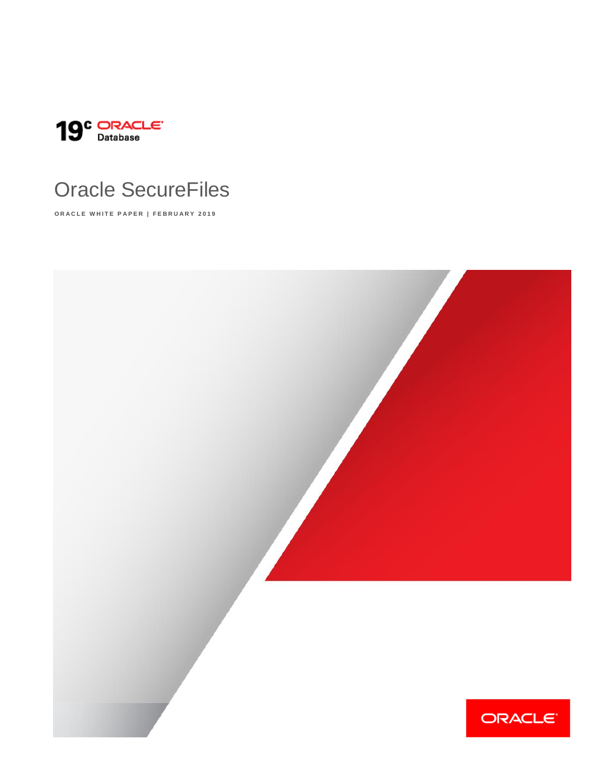

# Oracle SecureFiles

**ORACLE WHITE PAPER | FEBRUARY 2019** 

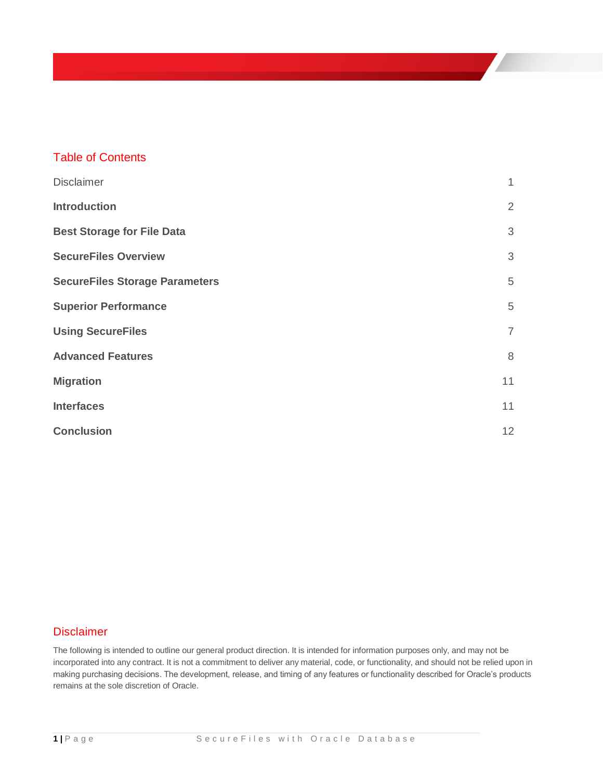### Table of Contents

| <b>Disclaimer</b>                     | 1              |
|---------------------------------------|----------------|
| <b>Introduction</b>                   | $\overline{2}$ |
| <b>Best Storage for File Data</b>     | 3              |
| <b>SecureFiles Overview</b>           | $\mathfrak{Z}$ |
| <b>SecureFiles Storage Parameters</b> | 5              |
| <b>Superior Performance</b>           | 5              |
| <b>Using SecureFiles</b>              | $\overline{7}$ |
| <b>Advanced Features</b>              | 8              |
| <b>Migration</b>                      | 11             |
| <b>Interfaces</b>                     | 11             |
| <b>Conclusion</b>                     | 12             |

#### <span id="page-1-0"></span>**Disclaimer**

The following is intended to outline our general product direction. It is intended for information purposes only, and may not be incorporated into any contract. It is not a commitment to deliver any material, code, or functionality, and should not be relied upon in making purchasing decisions. The development, release, and timing of any features or functionality described for Oracle's products remains at the sole discretion of Oracle.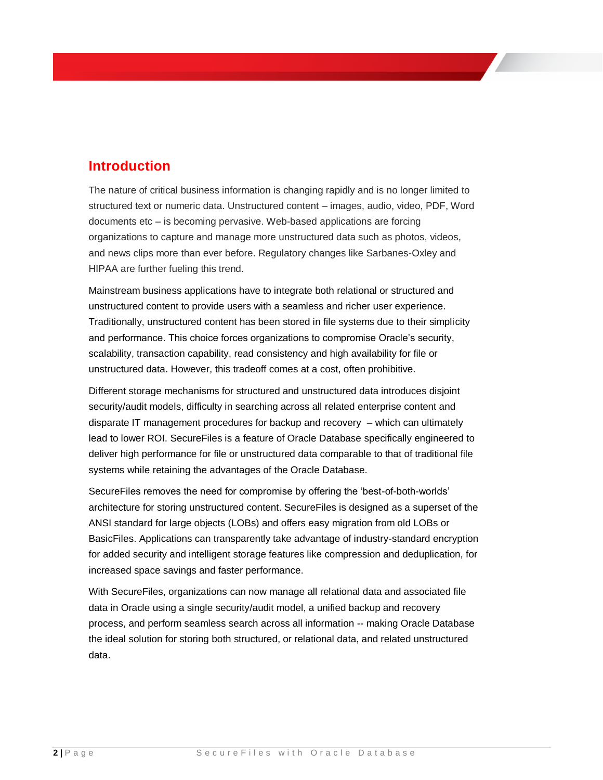### <span id="page-2-0"></span>**Introduction**

The nature of critical business information is changing rapidly and is no longer limited to structured text or numeric data. Unstructured content – images, audio, video, PDF, Word documents etc – is becoming pervasive. Web-based applications are forcing organizations to capture and manage more unstructured data such as photos, videos, and news clips more than ever before. Regulatory changes like Sarbanes-Oxley and HIPAA are further fueling this trend.

Mainstream business applications have to integrate both relational or structured and unstructured content to provide users with a seamless and richer user experience. Traditionally, unstructured content has been stored in file systems due to their simplicity and performance. This choice forces organizations to compromise Oracle's security, scalability, transaction capability, read consistency and high availability for file or unstructured data. However, this tradeoff comes at a cost, often prohibitive.

Different storage mechanisms for structured and unstructured data introduces disjoint security/audit models, difficulty in searching across all related enterprise content and disparate IT management procedures for backup and recovery – which can ultimately lead to lower ROI. SecureFiles is a feature of Oracle Database specifically engineered to deliver high performance for file or unstructured data comparable to that of traditional file systems while retaining the advantages of the Oracle Database.

SecureFiles removes the need for compromise by offering the 'best-of-both-worlds' architecture for storing unstructured content. SecureFiles is designed as a superset of the ANSI standard for large objects (LOBs) and offers easy migration from old LOBs or BasicFiles. Applications can transparently take advantage of industry-standard encryption for added security and intelligent storage features like compression and deduplication, for increased space savings and faster performance.

With SecureFiles, organizations can now manage all relational data and associated file data in Oracle using a single security/audit model, a unified backup and recovery process, and perform seamless search across all information -- making Oracle Database the ideal solution for storing both structured, or relational data, and related unstructured data.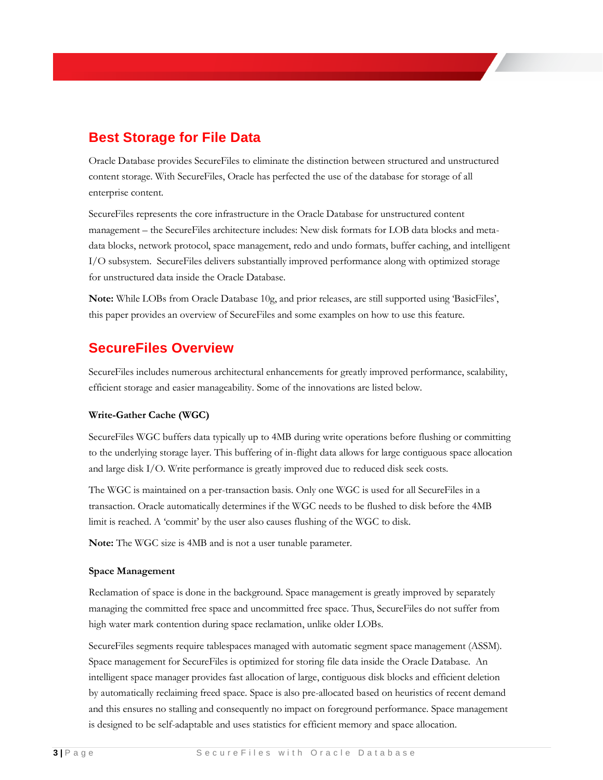### <span id="page-3-0"></span>**Best Storage for File Data**

Oracle Database provides SecureFiles to eliminate the distinction between structured and unstructured content storage. With SecureFiles, Oracle has perfected the use of the database for storage of all enterprise content.

SecureFiles represents the core infrastructure in the Oracle Database for unstructured content management – the SecureFiles architecture includes: New disk formats for LOB data blocks and metadata blocks, network protocol, space management, redo and undo formats, buffer caching, and intelligent I/O subsystem. SecureFiles delivers substantially improved performance along with optimized storage for unstructured data inside the Oracle Database.

**Note:** While LOBs from Oracle Database 10g, and prior releases, are still supported using 'BasicFiles', this paper provides an overview of SecureFiles and some examples on how to use this feature.

### <span id="page-3-1"></span>**SecureFiles Overview**

SecureFiles includes numerous architectural enhancements for greatly improved performance, scalability, efficient storage and easier manageability. Some of the innovations are listed below.

#### **Write-Gather Cache (WGC)**

SecureFiles WGC buffers data typically up to 4MB during write operations before flushing or committing to the underlying storage layer. This buffering of in-flight data allows for large contiguous space allocation and large disk I/O. Write performance is greatly improved due to reduced disk seek costs.

The WGC is maintained on a per-transaction basis. Only one WGC is used for all SecureFiles in a transaction. Oracle automatically determines if the WGC needs to be flushed to disk before the 4MB limit is reached. A 'commit' by the user also causes flushing of the WGC to disk.

**Note:** The WGC size is 4MB and is not a user tunable parameter.

#### **Space Management**

Reclamation of space is done in the background. Space management is greatly improved by separately managing the committed free space and uncommitted free space. Thus, SecureFiles do not suffer from high water mark contention during space reclamation, unlike older LOBs.

SecureFiles segments require tablespaces managed with automatic segment space management (ASSM). Space management for SecureFiles is optimized for storing file data inside the Oracle Database. An intelligent space manager provides fast allocation of large, contiguous disk blocks and efficient deletion by automatically reclaiming freed space. Space is also pre-allocated based on heuristics of recent demand and this ensures no stalling and consequently no impact on foreground performance. Space management is designed to be self-adaptable and uses statistics for efficient memory and space allocation.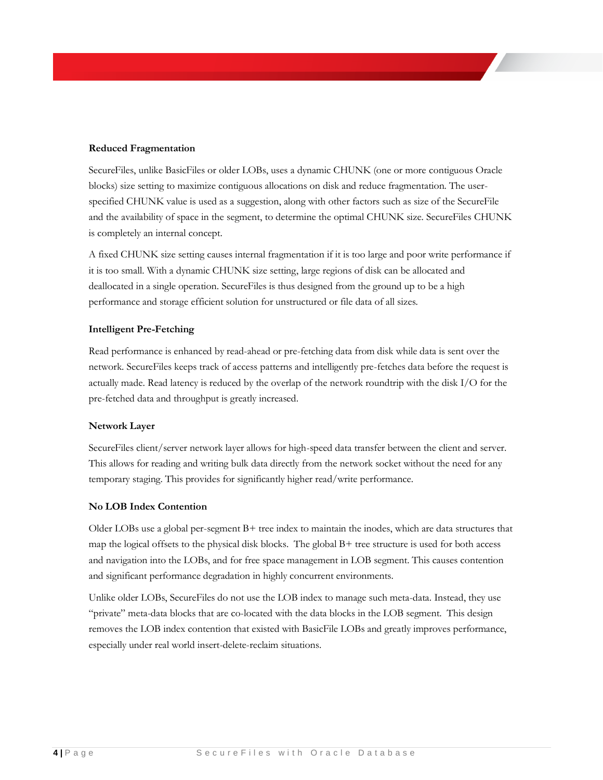#### **Reduced Fragmentation**

SecureFiles, unlike BasicFiles or older LOBs, uses a dynamic CHUNK (one or more contiguous Oracle blocks) size setting to maximize contiguous allocations on disk and reduce fragmentation. The userspecified CHUNK value is used as a suggestion, along with other factors such as size of the SecureFile and the availability of space in the segment, to determine the optimal CHUNK size. SecureFiles CHUNK is completely an internal concept.

A fixed CHUNK size setting causes internal fragmentation if it is too large and poor write performance if it is too small. With a dynamic CHUNK size setting, large regions of disk can be allocated and deallocated in a single operation. SecureFiles is thus designed from the ground up to be a high performance and storage efficient solution for unstructured or file data of all sizes.

#### **Intelligent Pre-Fetching**

Read performance is enhanced by read-ahead or pre-fetching data from disk while data is sent over the network. SecureFiles keeps track of access patterns and intelligently pre-fetches data before the request is actually made. Read latency is reduced by the overlap of the network roundtrip with the disk I/O for the pre-fetched data and throughput is greatly increased.

#### **Network Layer**

SecureFiles client/server network layer allows for high-speed data transfer between the client and server. This allows for reading and writing bulk data directly from the network socket without the need for any temporary staging. This provides for significantly higher read/write performance.

#### **No LOB Index Contention**

Older LOBs use a global per-segment B+ tree index to maintain the inodes, which are data structures that map the logical offsets to the physical disk blocks. The global  $B+$  tree structure is used for both access and navigation into the LOBs, and for free space management in LOB segment. This causes contention and significant performance degradation in highly concurrent environments.

Unlike older LOBs, SecureFiles do not use the LOB index to manage such meta-data. Instead, they use "private" meta-data blocks that are co-located with the data blocks in the LOB segment. This design removes the LOB index contention that existed with BasicFile LOBs and greatly improves performance, especially under real world insert-delete-reclaim situations.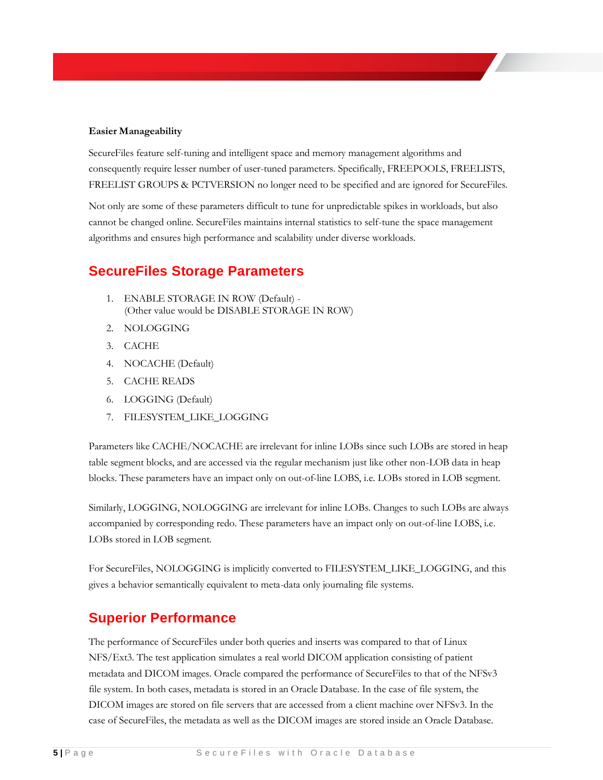#### **Easier Manageability**

SecureFiles feature self-tuning and intelligent space and memory management algorithms and consequently require lesser number of user-tuned parameters. Specifically, FREEPOOLS, FREELISTS, FREELIST GROUPS & PCTVERSION no longer need to be specified and are ignored for SecureFiles.

Not only are some of these parameters difficult to tune for unpredictable spikes in workloads, but also cannot be changed online. SecureFiles maintains internal statistics to self-tune the space management algorithms and ensures high performance and scalability under diverse workloads.

### <span id="page-5-0"></span>**SecureFiles Storage Parameters**

- 1. ENABLE STORAGE IN ROW (Default) (Other value would be DISABLE STORAGE IN ROW)
- 2. NOLOGGING
- 3. CACHE
- 4. NOCACHE (Default)
- 5. CACHE READS
- 6. LOGGING (Default)
- 7. FILESYSTEM\_LIKE\_LOGGING

Parameters like CACHE/NOCACHE are irrelevant for inline LOBs since such LOBs are stored in heap table segment blocks, and are accessed via the regular mechanism just like other non-LOB data in heap blocks. These parameters have an impact only on out-of-line LOBS, i.e. LOBs stored in LOB segment.

Similarly, LOGGING, NOLOGGING are irrelevant for inline LOBs. Changes to such LOBs are always accompanied by corresponding redo. These parameters have an impact only on out-of-line LOBS, i.e. LOBs stored in LOB segment.

For SecureFiles, NOLOGGING is implicitly converted to FILESYSTEM\_LIKE\_LOGGING, and this gives a behavior semantically equivalent to meta-data only journaling file systems.

### <span id="page-5-1"></span>**Superior Performance**

The performance of SecureFiles under both queries and inserts was compared to that of Linux NFS/Ext3. The test application simulates a real world DICOM application consisting of patient metadata and DICOM images. Oracle compared the performance of SecureFiles to that of the NFSv3 file system. In both cases, metadata is stored in an Oracle Database. In the case of file system, the DICOM images are stored on file servers that are accessed from a client machine over NFSv3. In the case of SecureFiles, the metadata as well as the DICOM images are stored inside an Oracle Database.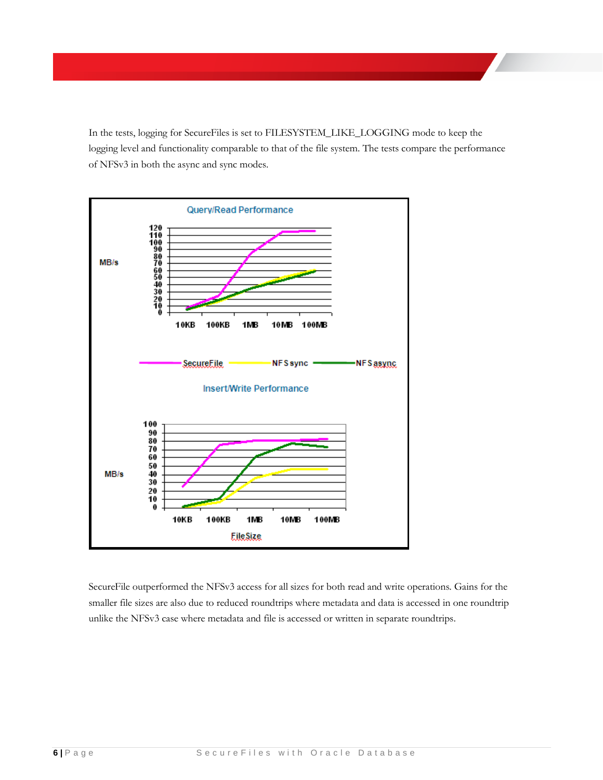In the tests, logging for SecureFiles is set to FILESYSTEM\_LIKE\_LOGGING mode to keep the logging level and functionality comparable to that of the file system. The tests compare the performance of NFSv3 in both the async and sync modes.



SecureFile outperformed the NFSv3 access for all sizes for both read and write operations. Gains for the smaller file sizes are also due to reduced roundtrips where metadata and data is accessed in one roundtrip unlike the NFSv3 case where metadata and file is accessed or written in separate roundtrips.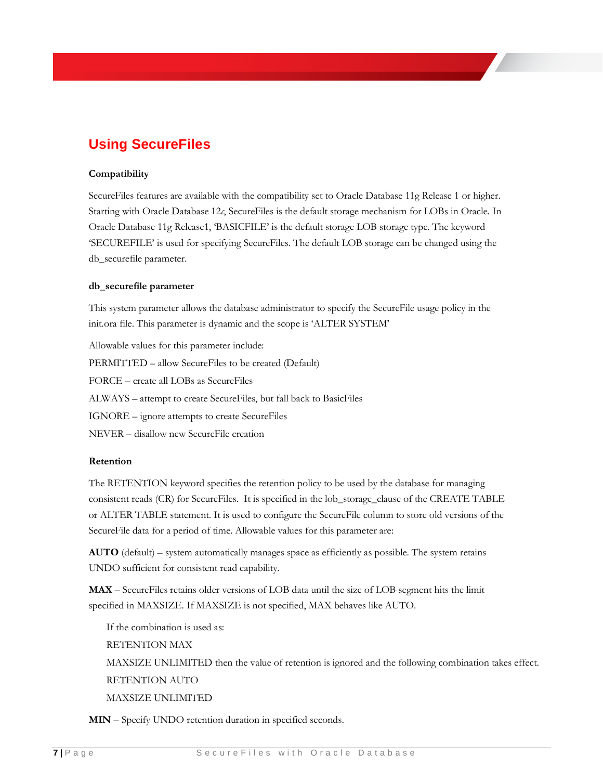## <span id="page-7-0"></span>**Using SecureFiles**

#### **Compatibility**

SecureFiles features are available with the compatibility set to Oracle Database 11g Release 1 or higher. Starting with Oracle Database 12*c*, SecureFiles is the default storage mechanism for LOBs in Oracle. In Oracle Database 11g Release1, 'BASICFILE' is the default storage LOB storage type. The keyword 'SECUREFILE' is used for specifying SecureFiles. The default LOB storage can be changed using the db\_securefile parameter.

#### **db\_securefile parameter**

This system parameter allows the database administrator to specify the SecureFile usage policy in the init.ora file. This parameter is dynamic and the scope is 'ALTER SYSTEM'

Allowable values for this parameter include: PERMITTED – allow SecureFiles to be created (Default) FORCE – create all LOBs as SecureFiles ALWAYS – attempt to create SecureFiles, but fall back to BasicFiles IGNORE – ignore attempts to create SecureFiles NEVER – disallow new SecureFile creation

#### **Retention**

The RETENTION keyword specifies the retention policy to be used by the database for managing consistent reads (CR) for SecureFiles. It is specified in the lob\_storage\_clause of the CREATE TABLE or ALTER TABLE statement. It is used to configure the SecureFile column to store old versions of the SecureFile data for a period of time. Allowable values for this parameter are:

**AUTO** (default) – system automatically manages space as efficiently as possible. The system retains UNDO sufficient for consistent read capability.

**MAX** – SecureFiles retains older versions of LOB data until the size of LOB segment hits the limit specified in MAXSIZE. If MAXSIZE is not specified, MAX behaves like AUTO.

If the combination is used as: RETENTION MAX MAXSIZE UNLIMITED then the value of retention is ignored and the following combination takes effect. RETENTION AUTO MAXSIZE UNLIMITED

**MIN** – Specify UNDO retention duration in specified seconds.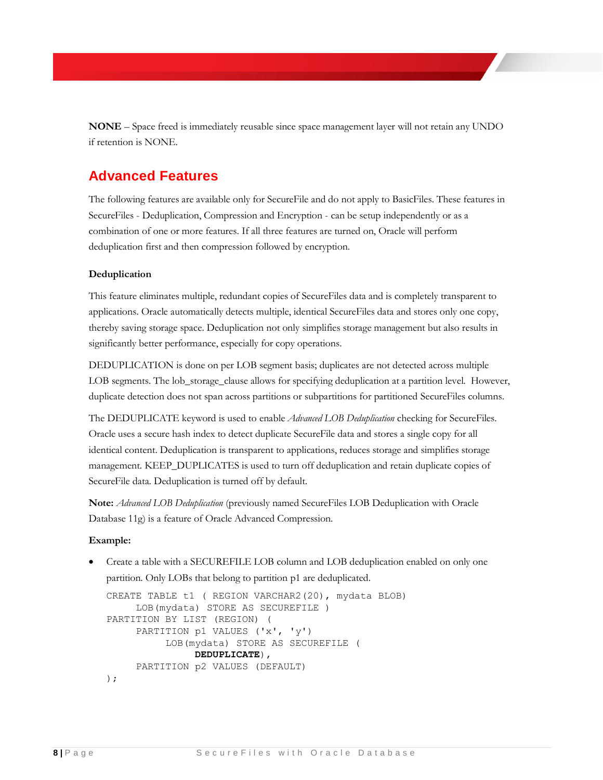**NONE** – Space freed is immediately reusable since space management layer will not retain any UNDO if retention is NONE.

### <span id="page-8-0"></span>**Advanced Features**

The following features are available only for SecureFile and do not apply to BasicFiles. These features in SecureFiles - Deduplication, Compression and Encryption - can be setup independently or as a combination of one or more features. If all three features are turned on, Oracle will perform deduplication first and then compression followed by encryption.

#### **Deduplication**

This feature eliminates multiple, redundant copies of SecureFiles data and is completely transparent to applications. Oracle automatically detects multiple, identical SecureFiles data and stores only one copy, thereby saving storage space. Deduplication not only simplifies storage management but also results in significantly better performance, especially for copy operations.

DEDUPLICATION is done on per LOB segment basis; duplicates are not detected across multiple LOB segments. The lob\_storage\_clause allows for specifying deduplication at a partition level. However, duplicate detection does not span across partitions or subpartitions for partitioned SecureFiles columns.

The DEDUPLICATE keyword is used to enable *Advanced LOB Deduplication* checking for SecureFiles. Oracle uses a secure hash index to detect duplicate SecureFile data and stores a single copy for all identical content. Deduplication is transparent to applications, reduces storage and simplifies storage management. KEEP\_DUPLICATES is used to turn off deduplication and retain duplicate copies of SecureFile data. Deduplication is turned off by default.

**Note:** *Advanced LOB Deduplication* (previously named SecureFiles LOB Deduplication with Oracle Database 11g) is a feature of Oracle Advanced Compression.

#### **Example:**

 Create a table with a SECUREFILE LOB column and LOB deduplication enabled on only one partition. Only LOBs that belong to partition p1 are deduplicated.

```
CREATE TABLE t1 ( REGION VARCHAR2(20), mydata BLOB) 
      LOB(mydata) STORE AS SECUREFILE )
PARTITION BY LIST (REGION) (
      PARTITION p1 VALUES ('x', 'y')
           LOB(mydata) STORE AS SECUREFILE (
                DEDUPLICATE),
      PARTITION p2 VALUES (DEFAULT)
);
```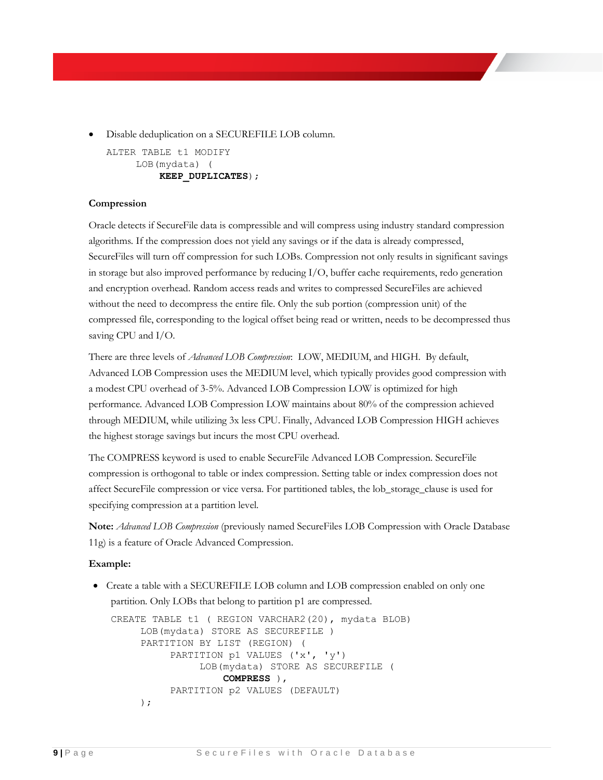Disable deduplication on a SECUREFILE LOB column.

ALTER TABLE t1 MODIFY LOB(mydata) ( **KEEP\_DUPLICATES**);

#### **Compression**

Oracle detects if SecureFile data is compressible and will compress using industry standard compression algorithms. If the compression does not yield any savings or if the data is already compressed, SecureFiles will turn off compression for such LOBs. Compression not only results in significant savings in storage but also improved performance by reducing I/O, buffer cache requirements, redo generation and encryption overhead. Random access reads and writes to compressed SecureFiles are achieved without the need to decompress the entire file. Only the sub portion (compression unit) of the compressed file, corresponding to the logical offset being read or written, needs to be decompressed thus saving CPU and I/O.

There are three levels of *Advanced LOB Compression*: LOW, MEDIUM, and HIGH. By default, Advanced LOB Compression uses the MEDIUM level, which typically provides good compression with a modest CPU overhead of 3-5%. Advanced LOB Compression LOW is optimized for high performance. Advanced LOB Compression LOW maintains about 80% of the compression achieved through MEDIUM, while utilizing 3x less CPU. Finally, Advanced LOB Compression HIGH achieves the highest storage savings but incurs the most CPU overhead.

The COMPRESS keyword is used to enable SecureFile Advanced LOB Compression. SecureFile compression is orthogonal to table or index compression. Setting table or index compression does not affect SecureFile compression or vice versa. For partitioned tables, the lob\_storage\_clause is used for specifying compression at a partition level.

**Note:** *Advanced LOB Compression* (previously named SecureFiles LOB Compression with Oracle Database 11g) is a feature of Oracle Advanced Compression.

#### **Example:**

 Create a table with a SECUREFILE LOB column and LOB compression enabled on only one partition. Only LOBs that belong to partition p1 are compressed.

```
CREATE TABLE t1 ( REGION VARCHAR2(20), mydata BLOB) 
      LOB(mydata) STORE AS SECUREFILE )
      PARTITION BY LIST (REGION) (
           PARTITION p1 VALUES ('x', 'y')
                LOB(mydata) STORE AS SECUREFILE (
                    COMPRESS ),
           PARTITION p2 VALUES (DEFAULT)
      );
```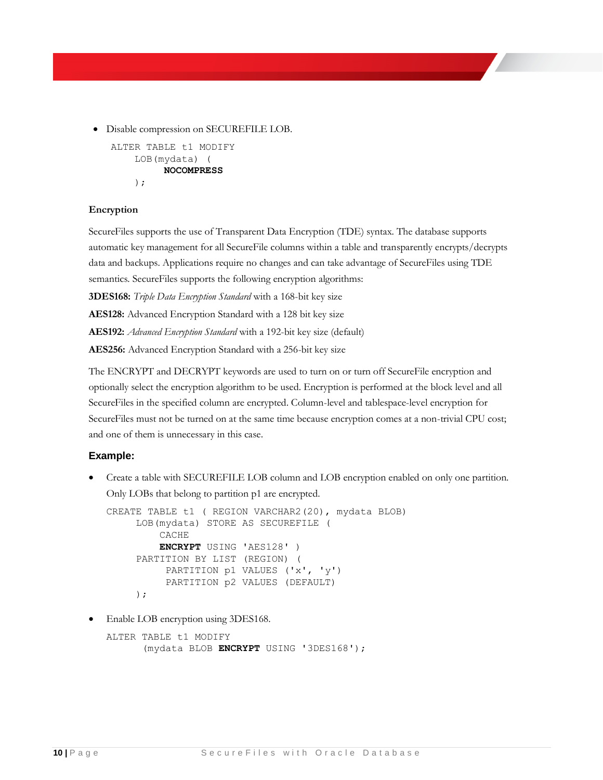Disable compression on SECUREFILE LOB.

```
ALTER TABLE t1 MODIFY 
     LOB(mydata) (
          NOCOMPRESS
     );
```
#### **Encryption**

SecureFiles supports the use of Transparent Data Encryption (TDE) syntax. The database supports automatic key management for all SecureFile columns within a table and transparently encrypts/decrypts data and backups. Applications require no changes and can take advantage of SecureFiles using TDE semantics. SecureFiles supports the following encryption algorithms:

**3DES168:** *Triple Data Encryption Standard* with a 168-bit key size

**AES128:** Advanced Encryption Standard with a 128 bit key size

**AES192:** *Advanced Encryption Standard* with a 192-bit key size (default)

**AES256:** Advanced Encryption Standard with a 256-bit key size

The ENCRYPT and DECRYPT keywords are used to turn on or turn off SecureFile encryption and optionally select the encryption algorithm to be used. Encryption is performed at the block level and all SecureFiles in the specified column are encrypted. Column-level and tablespace-level encryption for SecureFiles must not be turned on at the same time because encryption comes at a non-trivial CPU cost; and one of them is unnecessary in this case.

#### **Example:**

 Create a table with SECUREFILE LOB column and LOB encryption enabled on only one partition. Only LOBs that belong to partition p1 are encrypted.

```
CREATE TABLE t1 ( REGION VARCHAR2(20), mydata BLOB) 
      LOB(mydata) STORE AS SECUREFILE (
          CACHE
          ENCRYPT USING 'AES128' )
      PARTITION BY LIST (REGION) (
           PARTITION p1 VALUES ('x', 'y')
           PARTITION p2 VALUES (DEFAULT)
      );
```
Enable LOB encryption using 3DES168.

```
ALTER TABLE t1 MODIFY 
       (mydata BLOB ENCRYPT USING '3DES168');
```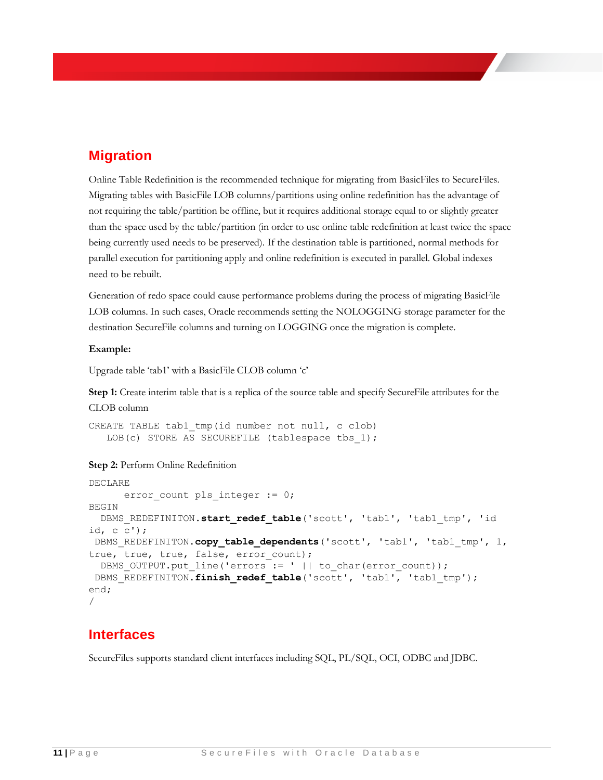### <span id="page-11-0"></span>**Migration**

Online Table Redefinition is the recommended technique for migrating from BasicFiles to SecureFiles. Migrating tables with BasicFile LOB columns/partitions using online redefinition has the advantage of not requiring the table/partition be offline, but it requires additional storage equal to or slightly greater than the space used by the table/partition (in order to use online table redefinition at least twice the space being currently used needs to be preserved). If the destination table is partitioned, normal methods for parallel execution for partitioning apply and online redefinition is executed in parallel. Global indexes need to be rebuilt.

Generation of redo space could cause performance problems during the process of migrating BasicFile LOB columns. In such cases, Oracle recommends setting the NOLOGGING storage parameter for the destination SecureFile columns and turning on LOGGING once the migration is complete.

#### **Example:**

Upgrade table 'tab1' with a BasicFile CLOB column 'c'

**Step 1:** Create interim table that is a replica of the source table and specify SecureFile attributes for the CLOB column

CREATE TABLE tab1 tmp(id number not null, c clob) LOB(c) STORE AS SECUREFILE (tablespace tbs 1);

#### **Step 2:** Perform Online Redefinition

```
DECLARE
      error count pls integer := 0;BEGIN
  DBMS_REDEFINITON.start_redef_table('scott', 'tab1', 'tab1_tmp', 'id 
id, c c');
 DBMS REDEFINITON.copy_table dependents('scott', 'tab1', 'tab1 tmp', 1,
true, true, true, false, error count);
  DBMS OUTPUT.put line('errors := ' || to char(error count));
 DBMS REDEFINITON.finish redef table<sup>('scott', 'tab1', 'tab1 tmp');</sup>
end;
/
```
### <span id="page-11-1"></span>**Interfaces**

SecureFiles supports standard client interfaces including SQL, PL/SQL, OCI, ODBC and JDBC.